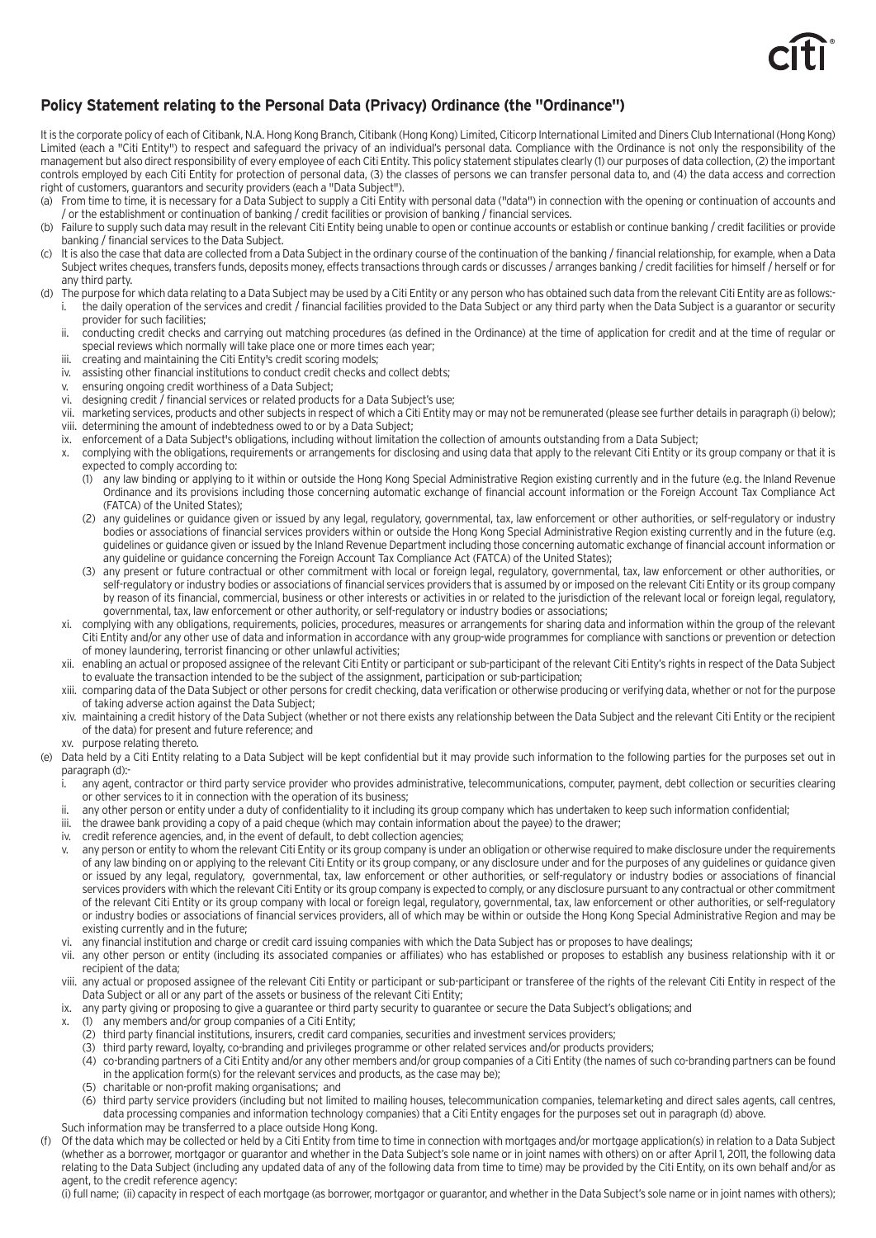

# **Policy Statement relating to the Personal Data (Privacy) Ordinance (the "Ordinance")**

It is the corporate policy of each of Citibank, N.A. Hong Kong Branch, Citibank (Hong Kong) Limited, Citicorp International Limited and Diners Club International (Hong Kong) Limited (each a "Citi Entity") to respect and safeguard the privacy of an individual's personal data. Compliance with the Ordinance is not only the responsibility of the management but also direct responsibility of every employee of each Citi Entity. This policy statement stipulates clearly (1) our purposes of data collection, (2) the important controls employed by each Citi Entity for protection of personal data, (3) the classes of persons we can transfer personal data to, and (4) the data access and correction right of customers, guarantors and security providers (each a "Data Subject").

- (a) From time to time, it is necessary for a Data Subject to supply a Citi Entity with personal data ("data") in connection with the opening or continuation of accounts and / or the establishment or continuation of banking / credit facilities or provision of banking / financial services.
- (b) Failure to supply such data may result in the relevant Citi Entity being unable to open or continue accounts or establish or continue banking / credit facilities or provide banking / financial services to the Data Subject.
- (c) It is also the case that data are collected from a Data Subject in the ordinary course of the continuation of the banking / financial relationship, for example, when a Data Subject writes cheques, transfers funds, deposits money, effects transactions through cards or discusses / arranges banking / credit facilities for himself / herself or for any third party.
- (d) The purpose for which data relating to a Data Subject may be used by a Citi Entity or any person who has obtained such data from the relevant Citi Entity are as follows: i. the daily operation of the services and credit / financial facilities provided to the Data Subject or any third party when the Data Subject is a guarantor or security provider for such facilities;
	- ii. conducting credit checks and carrying out matching procedures (as defined in the Ordinance) at the time of application for credit and at the time of regular or special reviews which normally will take place one or more times each year;
	- iii. creating and maintaining the Citi Entity's credit scoring models;
	- iv. assisting other financial institutions to conduct credit checks and collect debts;
	- v. ensuring ongoing credit worthiness of a Data Subject;
	- vi. designing credit / financial services or related products for a Data Subject's use;<br>vii. marketing services, products and other subjects in respect of which a Citi Entity i
	- marketing services, products and other subjects in respect of which a Citi Entity may or may not be remunerated (please see further details in paragraph (i) below); viii. determining the amount of indebtedness owed to or by a Data Subject;
	- ix. enforcement of a Data Subject's obligations, including without limitation the collection of amounts outstanding from a Data Subject;
	- x. complying with the obligations, requirements or arrangements for disclosing and using data that apply to the relevant Citi Entity or its group company or that it is expected to comply according to:
		- (1) any law binding or applying to it within or outside the Hong Kong Special Administrative Region existing currently and in the future (e.g. the Inland Revenue Ordinance and its provisions including those concerning automatic exchange of financial account information or the Foreign Account Tax Compliance Act (FATCA) of the United States);
		- (2) any guidelines or guidance given or issued by any legal, regulatory, governmental, tax, law enforcement or other authorities, or self-regulatory or industry bodies or associations of financial services providers within or outside the Hong Kong Special Administrative Region existing currently and in the future (e.g. guidelines or guidance given or issued by the Inland Revenue Department including those concerning automatic exchange of financial account information or any guideline or guidance concerning the Foreign Account Tax Compliance Act (FATCA) of the United States);
		- (3) any present or future contractual or other commitment with local or foreign legal, regulatory, governmental, tax, law enforcement or other authorities, or self-regulatory or industry bodies or associations of financial services providers that is assumed by or imposed on the relevant Citi Entity or its group company by reason of its financial, commercial, business or other interests or activities in or related to the jurisdiction of the relevant local or foreign legal, regulatory, governmental, tax, law enforcement or other authority, or self-regulatory or industry bodies or associations;
	- xi. complying with any obligations, requirements, policies, procedures, measures or arrangements for sharing data and information within the group of the relevant Citi Entity and/or any other use of data and information in accordance with any group-wide programmes for compliance with sanctions or prevention or detection of money laundering, terrorist financing or other unlawful activities;
	- xii. enabling an actual or proposed assignee of the relevant Citi Entity or participant or sub-participant of the relevant Citi Entity's rights in respect of the Data Subject to evaluate the transaction intended to be the subject of the assignment, participation or sub-participation;
	- xiii. comparing data of the Data Subject or other persons for credit checking, data verification or otherwise producing or verifying data, whether or not for the purpose of taking adverse action against the Data Subject;
	- xiv. maintaining a credit history of the Data Subject (whether or not there exists any relationship between the Data Subject and the relevant Citi Entity or the recipient of the data) for present and future reference; and
- xv. purpose relating thereto.<br>(e) Data held by a Citi Entity relation
	- Data held by a Citi Entity relating to a Data Subject will be kept confidential but it may provide such information to the following parties for the purposes set out in paragraph (d):
		- any agent, contractor or third party service provider who provides administrative, telecommunications, computer, payment, debt collection or securities clearing or other services to it in connection with the operation of its business;
	- ii. any other person or entity under a duty of confidentiality to it including its group company which has undertaken to keep such information confidential;
	- iii. the drawee bank providing a copy of a paid cheque (which may contain information about the payee) to the drawer;
	- iv. credit reference agencies, and, in the event of default, to debt collection agencies;
	- any person or entity to whom the relevant Citi Entity or its group company is under an obligation or otherwise required to make disclosure under the requirements of any law binding on or applying to the relevant Citi Entity or its group company, or any disclosure under and for the purposes of any guidelines or guidance given or issued by any legal, regulatory, governmental, tax, law enforcement or other authorities, or self-regulatory or industry bodies or associations of financial services providers with which the relevant Citi Entity or its group company is expected to comply, or any disclosure pursuant to any contractual or other commitment of the relevant Citi Entity or its group company with local or foreign legal, regulatory, governmental, tax, law enforcement or other authorities, or self-regulatory or industry bodies or associations of financial services providers, all of which may be within or outside the Hong Kong Special Administrative Region and may be existing currently and in the future;
	- vi. any financial institution and charge or credit card issuing companies with which the Data Subject has or proposes to have dealings;
	- vii. any other person or entity (including its associated companies or affiliates) who has established or proposes to establish any business relationship with it or recipient of the data;
	- viii. any actual or proposed assignee of the relevant Citi Entity or participant or sub-participant or transferee of the rights of the relevant Citi Entity in respect of the Data Subject or all or any part of the assets or business of the relevant Citi Entity;
	- ix. any party giving or proposing to give a guarantee or third party security to guarantee or secure the Data Subject's obligations; and
	- x. (1) any members and/or group companies of a Citi Entity;
		- (2) third party financial institutions, insurers, credit card companies, securities and investment services providers;
		- (3) third party reward, loyalty, co-branding and privileges programme or other related services and/or products providers;
		- (4) co-branding partners of a Citi Entity and/or any other members and/or group companies of a Citi Entity (the names of such co-branding partners can be found in the application form(s) for the relevant services and products, as the case may be);
		- (5) charitable or non-profit making organisations; and
		- (6) third party service providers (including but not limited to mailing houses, telecommunication companies, telemarketing and direct sales agents, call centres, data processing companies and information technology companies) that a Citi Entity engages for the purposes set out in paragraph (d) above.
	- Such information may be transferred to a place outside Hong Kong.
- (f) Of the data which may be collected or held by a Citi Entity from time to time in connection with mortgages and/or mortgage application(s) in relation to a Data Subject (whether as a borrower, mortgagor or guarantor and whether in the Data Subject's sole name or in joint names with others) on or after April 1, 2011, the following data relating to the Data Subject (including any updated data of any of the following data from time to time) may be provided by the Citi Entity, on its own behalf and/or as agent, to the credit reference agency:

(i) full name; (ii) capacity in respect of each mortgage (as borrower, mortgagor or guarantor, and whether in the Data Subject's sole name or in joint names with others);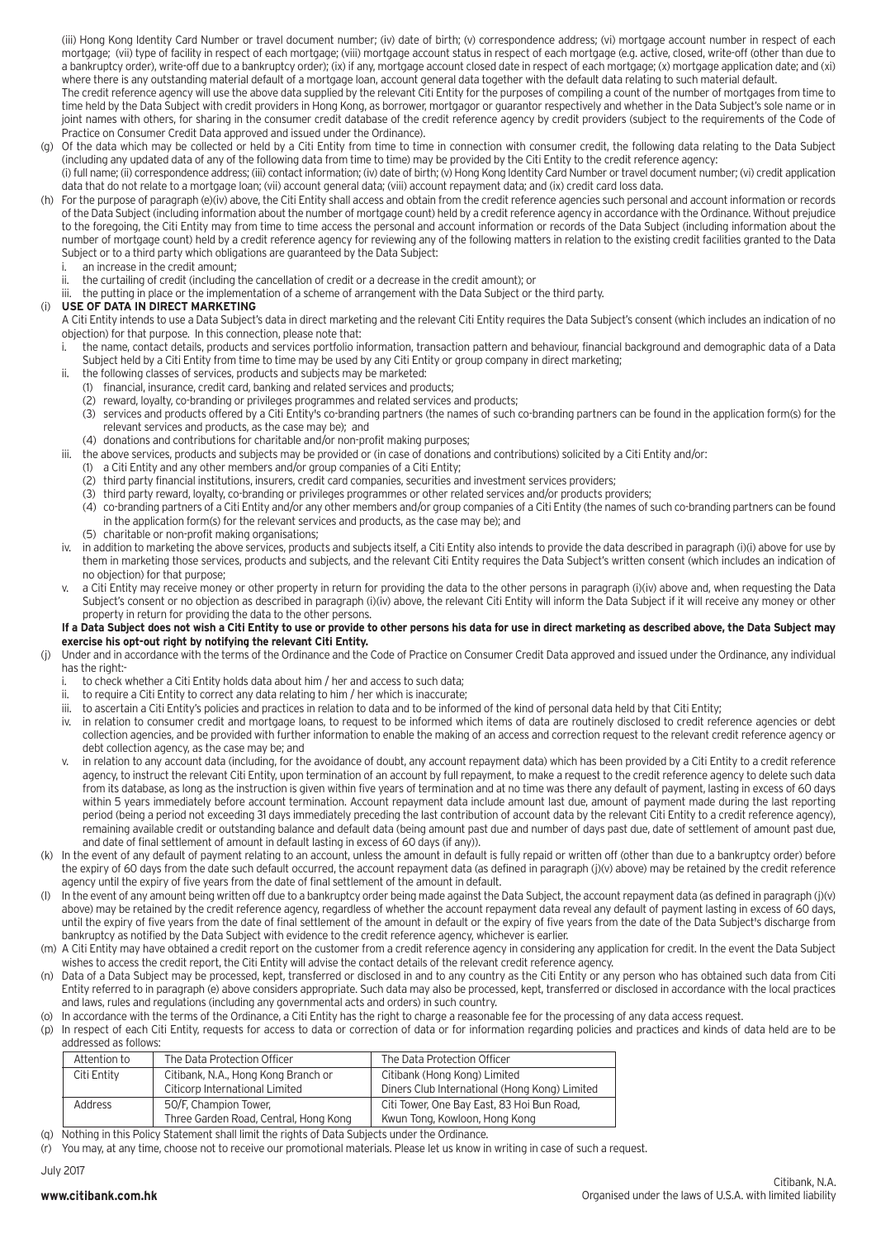(iii) Hong Kong Identity Card Number or travel document number; (iv) date of birth; (v) correspondence address; (vi) mortgage account number in respect of each mortgage; (vii) type of facility in respect of each mortgage; (viii) mortgage account status in respect of each mortgage (e.g. active, closed, write-off (other than due to a bankruptcy order), write-off due to a bankruptcy order); (ix) if any, mortgage account closed date in respect of each mortgage; (x) mortgage application date; and (xi) where there is any outstanding material default of a mortgage loan, account general data together with the default data relating to such material default.

The credit reference agency will use the above data supplied by the relevant Citi Entity for the purposes of compiling a count of the number of mortgages from time to time held by the Data Subject with credit providers in Hong Kong, as borrower, mortgagor or guarantor respectively and whether in the Data Subject's sole name or in joint names with others, for sharing in the consumer credit database of the credit reference agency by credit providers (subject to the requirements of the Code of Practice on Consumer Credit Data approved and issued under the Ordinance).

(g) Of the data which may be collected or held by a Citi Entity from time to time in connection with consumer credit, the following data relating to the Data Subject (including any updated data of any of the following data from time to time) may be provided by the Citi Entity to the credit reference agency:

(i) full name; (ii) correspondence address; (iii) contact information; (iv) date of birth; (v) Hong Kong Identity Card Number or travel document number; (vi) credit application data that do not relate to a mortgage loan; (vii) account general data; (viii) account repayment data; and (ix) credit card loss data.

- (h) For the purpose of paragraph (e)(iv) above, the Citi Entity shall access and obtain from the credit reference agencies such personal and account information or records of the Data Subject (including information about the number of mortgage count) held by a credit reference agency in accordance with the Ordinance. Without prejudice to the foregoing, the Citi Entity may from time to time access the personal and account information or records of the Data Subject (including information about the number of mortgage count) held by a credit reference agency for reviewing any of the following matters in relation to the existing credit facilities granted to the Data Subject or to a third party which obligations are guaranteed by the Data Subject:
	- an increase in the credit amount;
	- ii. the curtailing of credit (including the cancellation of credit or a decrease in the credit amount); or
	- iii. the putting in place or the implementation of a scheme of arrangement with the Data Subject or the third party.

### (i) **USE OF DATA IN DIRECT MARKETING**

 A Citi Entity intends to use a Data Subject's data in direct marketing and the relevant Citi Entity requires the Data Subject's consent (which includes an indication of no objection) for that purpose. In this connection, please note that:

- i. the name, contact details, products and services portfolio information, transaction pattern and behaviour, financial background and demographic data of a Data Subject held by a Citi Entity from time to time may be used by any Citi Entity or group company in direct marketing;
- ii. the following classes of services, products and subjects may be marketed:
	- (1) financial, insurance, credit card, banking and related services and products;
	- (2) reward, loyalty, co-branding or privileges programmes and related services and products;
	- (3) services and products offered by a Citi Entity's co-branding partners (the names of such co-branding partners can be found in the application form(s) for the relevant services and products, as the case may be); and
	- (4) donations and contributions for charitable and/or non-profit making purposes;
- iii. the above services, products and subjects may be provided or (in case of donations and contributions) solicited by a Citi Entity and/or:
	- (1) a Citi Entity and any other members and/or group companies of a Citi Entity;
	- (2) third party financial institutions, insurers, credit card companies, securities and investment services providers;
	- (3) third party reward, loyalty, co-branding or privileges programmes or other related services and/or products providers;
	- (4) co-branding partners of a Citi Entity and/or any other members and/or group companies of a Citi Entity (the names of such co-branding partners can be found in the application form(s) for the relevant services and products, as the case may be); and
	- (5) charitable or non-profit making organisations;
- in addition to marketing the above services, products and subjects itself, a Citi Entity also intends to provide the data described in paragraph (i)(i) above for use by them in marketing those services, products and subjects, and the relevant Citi Entity requires the Data Subject's written consent (which includes an indication of no objection) for that purpose;
- v. a Citi Entity may receive money or other property in return for providing the data to the other persons in paragraph (i)(iv) above and, when requesting the Data Subject's consent or no objection as described in paragraph (i)(iv) above, the relevant Citi Entity will inform the Data Subject if it will receive any money or other property in return for providing the data to the other persons.

#### **If a Data Subject does not wish a Citi Entity to use or provide to other persons his data for use in direct marketing as described above, the Data Subject may exercise his opt-out right by notifying the relevant Citi Entity.**

- Under and in accordance with the terms of the Ordinance and the Code of Practice on Consumer Credit Data approved and issued under the Ordinance, any individual has the right:
	- to check whether a Citi Entity holds data about him / her and access to such data;
	- ii. to require a Citi Entity to correct any data relating to him / her which is inaccurate;
	- iii. to ascertain a Citi Entity's policies and practices in relation to data and to be informed of the kind of personal data held by that Citi Entity;
	- iv. in relation to consumer credit and mortgage loans, to request to be informed which items of data are routinely disclosed to credit reference agencies or debt collection agencies, and be provided with further information to enable the making of an access and correction request to the relevant credit reference agency or debt collection agency, as the case may be; and
	- v. in relation to any account data (including, for the avoidance of doubt, any account repayment data) which has been provided by a Citi Entity to a credit reference agency, to instruct the relevant Citi Entity, upon termination of an account by full repayment, to make a request to the credit reference agency to delete such data from its database, as long as the instruction is given within five years of termination and at no time was there any default of payment, lasting in excess of 60 days within 5 years immediately before account termination. Account repayment data include amount last due, amount of payment made during the last reporting period (being a period not exceeding 31 days immediately preceding the last contribution of account data by the relevant Citi Entity to a credit reference agency), remaining available credit or outstanding balance and default data (being amount past due and number of days past due, date of settlement of amount past due, and date of final settlement of amount in default lasting in excess of 60 days (if any)).
- (k) In the event of any default of payment relating to an account, unless the amount in default is fully repaid or written off (other than due to a bankruptcy order) before the expiry of 60 days from the date such default occurred, the account repayment data (as defined in paragraph (j)(v) above) may be retained by the credit reference agency until the expiry of five years from the date of final settlement of the amount in default.
- In the event of any amount being written off due to a bankruptcy order being made against the Data Subject, the account repayment data (as defined in paragraph (j)(v) above) may be retained by the credit reference agency, regardless of whether the account repayment data reveal any default of payment lasting in excess of 60 days, until the expiry of five years from the date of final settlement of the amount in default or the expiry of five years from the date of the Data Subject's discharge from bankruptcy as notified by the Data Subject with evidence to the credit reference agency, whichever is earlier.
- (m) A Citi Entity may have obtained a credit report on the customer from a credit reference agency in considering any application for credit. In the event the Data Subject wishes to access the credit report, the Citi Entity will advise the contact details of the relevant credit reference agency.
- (n) Data of a Data Subject may be processed, kept, transferred or disclosed in and to any country as the Citi Entity or any person who has obtained such data from Citi Entity referred to in paragraph (e) above considers appropriate. Such data may also be processed, kept, transferred or disclosed in accordance with the local practices and laws, rules and regulations (including any governmental acts and orders) in such country.
- (o) In accordance with the terms of the Ordinance, a Citi Entity has the right to charge a reasonable fee for the processing of any data access request.
- (p) In respect of each Citi Entity, requests for access to data or correction of data or for information regarding policies and practices and kinds of data held are to be addressed as follows:

| Attention to | The Data Protection Officer           | The Data Protection Officer                   |
|--------------|---------------------------------------|-----------------------------------------------|
| Citi Entity  | Citibank, N.A., Hong Kong Branch or   | Citibank (Hong Kong) Limited                  |
|              | Citicorp International Limited        | Diners Club International (Hong Kong) Limited |
| Address      | 50/F. Champion Tower.                 | Citi Tower, One Bay East, 83 Hoi Bun Road,    |
|              | Three Garden Road, Central, Hong Kong | Kwun Tong, Kowloon, Hong Kong                 |

- (q) Nothing in this Policy Statement shall limit the rights of Data Subjects under the Ordinance.
- (r) You may, at any time, choose not to receive our promotional materials. Please let us know in writing in case of such a request.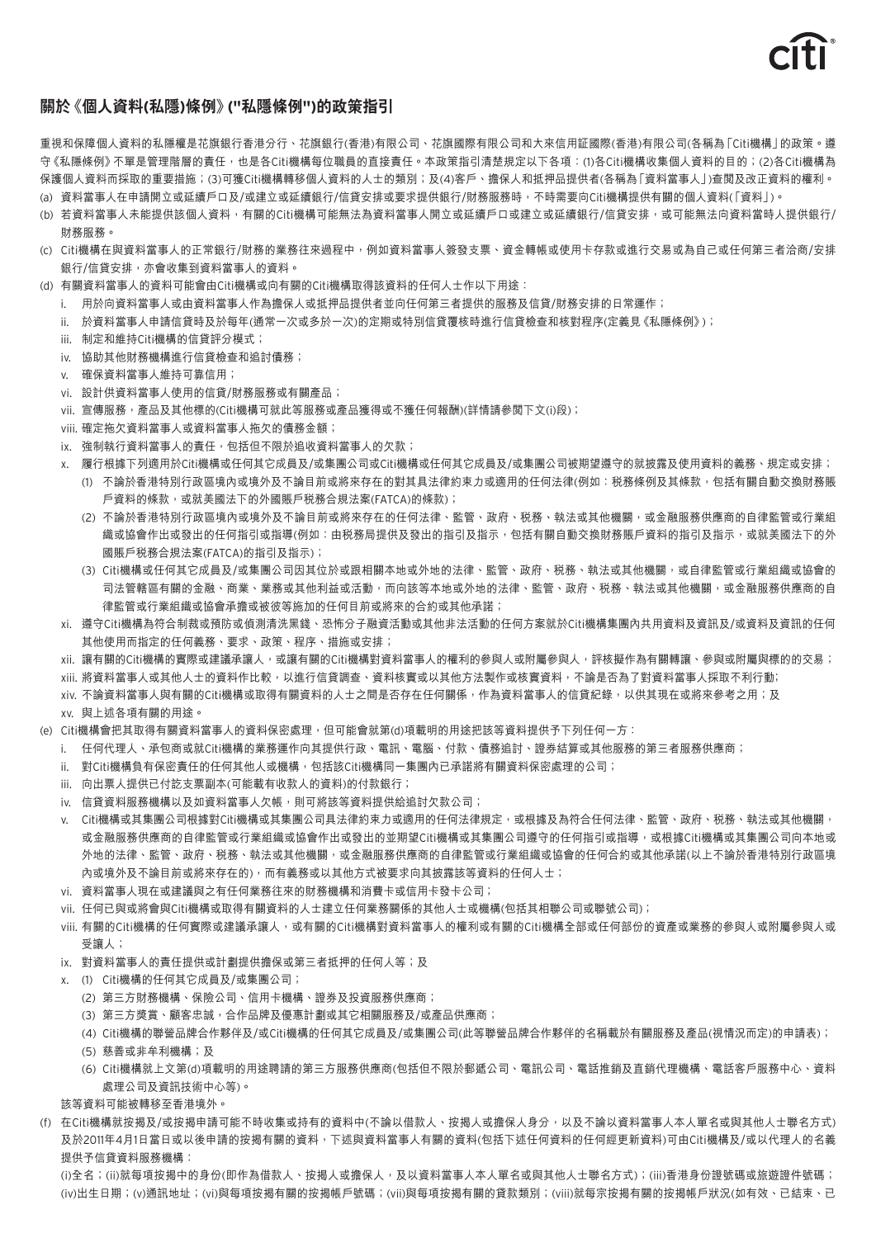

# **關於《個人資料(私隱)條例》("私隱條例")的政策指引**

重視和保障個人資料的私隱權是花旗銀行香港分行、花旗銀行(香港)有限公司、花旗國際有限公司和大來信用証國際(香港)有限公司(各稱為「Citi機構」的政策。遵 守《私隱條例》不單是管理階層的責任,也是各Citi機構每位職員的直接責任。本政策指引清楚規定以下各項:(1)各Citi機構收集個人資料的目的;(2)各Citi機構為 保護個人資料而採取的重要措施;(3)可獲Citi機構轉移個人資料的人士的類別;及(4)客戶、擔保人和抵押品提供者(各稱為「資料當事人」)查閲及改正資料的權利。 (a) 資料當事人在申請開立或延續戶口及/或建立或延續銀行/信貸安排或要求提供銀行/財務服務時,不時需要向Citi機構提供有關的個人資料(「資料」)。

- (b) 若資料當事人未能提供該個人資料,有關的Citi機構可能無法為資料當事人開立或延續戶口或建立或延續銀行/信貸安排,或可能無法向資料當時人提供銀行/ 財務服務。
- (c) Citi機構在與資料當事人的正常銀行/財務的業務往來過程中,例如資料當事人簽發支票、資金轉帳或使用卡存款或進行交易或為自己或任何第三者洽商/安排 銀行/信貸安排,亦會收集到資料當事人的資料。
- (d) 有關資料當事人的資料可能會由Citi機構或向有關的Citi機構取得該資料的任何人士作以下用途:
	- i. 用於向資料當事人或由資料當事人作為擔保人或抵押品提供者並向任何第三者提供的服務及信貸/財務安排的日常運作;
	- ii. 於資料當事人申請信貸時及於每年(通常一次或多於一次)的定期或特別信貸覆核時進行信貸檢查和核對程序(定義見《私隱條例》);
	- iii. 制定和維持Citi機構的信貸評分模式;
	- iv. 協助其他財務機構進行信貸檢查和追討債務;
	- v. 確保資料當事人維持可靠信用;
	- vi. 設計供資料當事人使用的信貸/財務服務或有關產品;
	- vii. 宣傳服務,產品及其他標的(Citi機構可就此等服務或產品獲得或不獲任何報酬)(詳情請參閲下文(i)段);
	- viii. 確定拖欠資料當事人或資料當事人拖欠的債務金額;
	- ix. 強制執行資料當事人的責任,包括但不限於追收資料當事人的欠款;
	- x. 履行根據下列適用於Citi機構或任何其它成員及/或集團公司或Citi機構或任何其它成員及/或集團公司被期望遵守的就披露及使用資料的義務、規定或安排; (1) 不論於香港特別行政區境內或境外及不論目前或將來存在的對其具法律約束力或適用的任何法律(例如:税務條例及其條款,包括有關自動交換財務賬 戶資料的條款,或就美國法下的外國賬戶税務合規法案(FATCA)的條款);
		- (2) 不論於香港特別行政區境內或境外及不論目前或將來存在的任何法律、監管、政府、稅務、執法或其他機關,或金融服務供應商的自律監管或行業組 織或協會作出或發出的任何指引或指導(例如:由税務局提供及發出的指引及指示,包括有關自動交換財務賬戶資料的指引及指示,或就美國法下的外 國賬戶稅務合規法案(FATCA)的指引及指示);
		- (3) Citi機構或任何其它成員及/或集團公司因其位於或跟相關本地或外地的法律、監管、政府、稅務、執法或其他機關,或自律監管或行業組織或協會的 司法管轄區有關的金融、商業、業務或其他利益或活動,而向該等本地或外地的法律、監管、政府、税務、執法或其他機關,或金融服務供應商的自 律監管或行業組織或協會承擔或被彼等施加的任何目前或將來的合約或其他承諾;
	- xi. 遵守Citi機構為符合制裁或預防或偵測清洗黑錢、恐怖分子融資活動或其他非法活動的任何方案就於Citi機構集團內共用資料及資訊及/或資料及資訊的任何 其他使用而指定的任何義務、要求、政策、程序、措施或安排;
	- xii. 讓有關的Citi機構的實際或建議承讓人,或讓有關的Citi機構對資料當事人的權利的參與人或附屬參與人,評核擬作為有關轉讓、參與或附屬與標的的交易;
	- xiii. 將資料當事人或其他人士的資料作比較,以進行信貸調查、資料核實或以其他方法製作或核實資料,不論是否為了對資料當事人採取不利行動;
	- xiv. 不論資料當事人與有關的Citi機構或取得有關資料的人士之間是否存在任何關係,作為資料當事人的信貸紀錄,以供其現在或將來參考之用;及 xv. 與上述各項有關的用途。
- (e) Citi機構會把其取得有關資料當事人的資料保密處理,但可能會就第(d)項載明的用途把該等資料提供予下列任何一方 ﹕
	- i. 任何代理人、承包商或就Citi機構的業務運作向其提供行政、電訊、電腦、付款、債務追討、證券結算或其他服務的第三者服務供應商;
	- ii. 對Citi機構負有保密責任的任何其他人或機構,包括該Citi機構同一集團內已承諾將有關資料保密處理的公司;
	- iii. 向出票人提供已付訖支票副本(可能載有收款人的資料)的付款銀行;
	- iv. 信貸資料服務機構以及如資料當事人欠帳,則可將該等資料提供給追討欠款公司;
	- v. Citi機構或其集團公司根據對Citi機構或其集團公司具法律約束力或適用的任何法律規定,或根據及為符合任何法律、監管、政府、税務、執法或其他機關, 或金融服務供應商的自律監管或行業組織或協會作出或發出的並期望Citi機構或其集團公司遵守的任何指引或指導,或根據Citi機構或其集團公司向本地或 外地的法律、監管、政府、稅務、執法或其他機關,或金融服務供應商的自律監管或行業組織或協會的任何合約或其他承諾(以上不論於香港特別行政區境 內或境外及不論目前或將來存在的),而有義務或以其他方式被要求向其披露該等資料的任何人士;
	- vi. 資料當事人現在或建議與之有任何業務往來的財務機構和消費卡或信用卡發卡公司;
	- vii. 任何已與或將會與Citi機構或取得有關資料的人士建立任何業務關係的其他人士或機構(包括其相聯公司或聯號公司);
	- viii. 有關的Citi機構的任何實際或建議承讓人,或有關的Citi機構對資料當事人的權利或有關的Citi機構全部或任何部份的資產或業務的參與人或附屬參與人或 受讓人;
	- ix. 對資料當事人的責任提供或計劃提供擔保或第三者抵押的任何人等;及
	- x. (1) Citi機構的任何其它成員及/或集團公司;
		- (2) 第三方財務機構、保險公司、信用卡機構、證券及投資服務供應商;
		- (3) 第三方獎賞、顧客忠誠,合作品牌及優惠計劃或其它相關服務及/或產品供應商;
		- (4) Citi機構的聯營品牌合作夥伴及/或Citi機構的任何其它成員及/或集團公司(此等聯營品牌合作夥伴的名稱載於有關服務及產品(視情況而定)的申請表);
		- (5) 慈善或非牟利機構;及
		- (6) Citi機構就上文第(d)項載明的用途聘請的第三方服務供應商(包括但不限於郵遞公司、電訊公司、電話推銷及直銷代理機構、電話客戶服務中心、資料 處理公司及資訊技術中心等)。
	- 該等資料可能被轉移至香港境外。
- (f) 在Citi機構就按揭及/或按揭申請可能不時收集或持有的資料中(不論以借款人、按揭人或擔保人身分,以及不論以資料當事人本人單名或與其他人士聯名方式) 及於2011年4月1日當日或以後申請的按揭有關的資料,下述與資料當事人有關的資料(包括下述任何資料的任何經更新資料)可由Citi機構及/或以代理人的名義 提供予信貸資料服務機構:

(i)全名;(ii)就每項按揭中的身份(即作為借款人、按揭人或擔保人,及以資料當事人本人單名或與其他人士聯名方式);(iii)香港身份證號碼或旅遊證件號碼; (iv)出生日期;(v)通訊地址;(vi)與每項按揭有關的按揭帳戶號碼;(vii)與每項按揭有關的貸款類別;(viii)就每宗按揭有關的按揭帳戶狀況(如有效、已結束、已